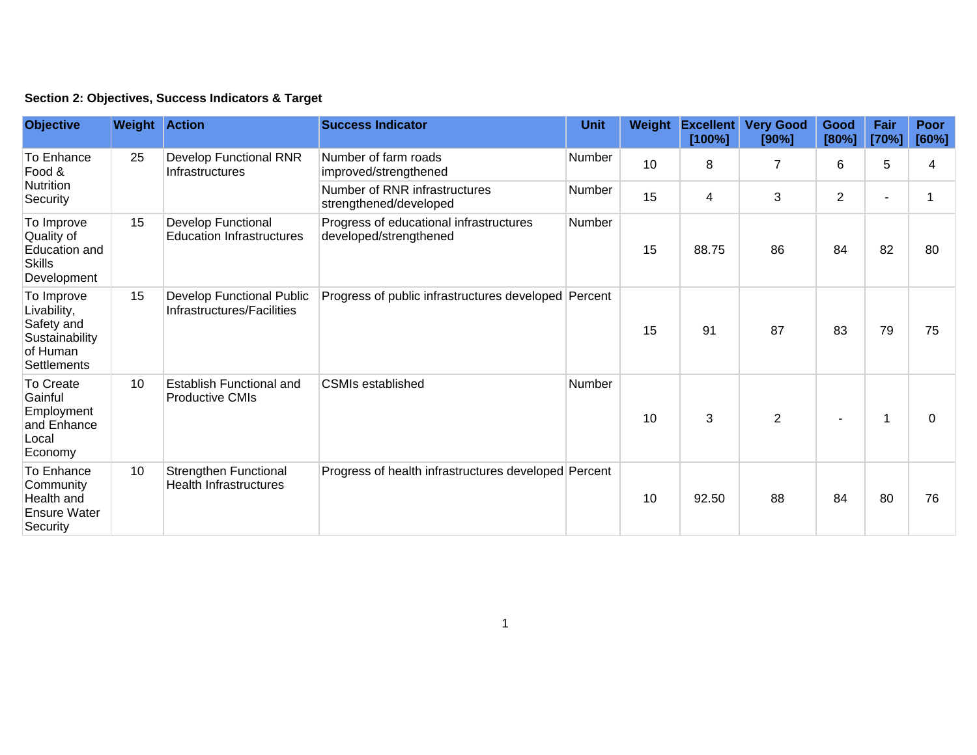|  | Section 2: Objectives, Success Indicators & Target |  |  |  |  |
|--|----------------------------------------------------|--|--|--|--|
|--|----------------------------------------------------|--|--|--|--|

| <b>Objective</b>                                                                            | <b>Weight Action</b> |                                                               | <b>Success Indicator</b>                                          | <b>Unit</b>   | Weight | <b>Excellent</b><br>[100%] | <b>Very Good</b><br>[90%] | Good<br>[80%]  | Fair<br>[70%] | Poor<br>[60%] |
|---------------------------------------------------------------------------------------------|----------------------|---------------------------------------------------------------|-------------------------------------------------------------------|---------------|--------|----------------------------|---------------------------|----------------|---------------|---------------|
| To Enhance<br>Food &<br>Nutrition<br>Security                                               | 25                   | Develop Functional RNR<br>Infrastructures                     | Number of farm roads<br>improved/strengthened                     | Number        | 10     | 8                          | $\overline{7}$            | 6              | 5             | 4             |
|                                                                                             |                      |                                                               | Number of RNR infrastructures<br>strengthened/developed           | Number        | 15     | 4                          | 3                         | $\overline{2}$ | ٠             |               |
| To Improve<br>Quality of<br>Education and<br><b>Skills</b><br>Development                   | 15                   | <b>Develop Functional</b><br><b>Education Infrastructures</b> | Progress of educational infrastructures<br>developed/strengthened | <b>Number</b> | 15     | 88.75                      | 86                        | 84             | 82            | 80            |
| To Improve<br>Livability,<br>Safety and<br>Sustainability<br>of Human<br><b>Settlements</b> | 15                   | Develop Functional Public<br>Infrastructures/Facilities       | Progress of public infrastructures developed Percent              |               | 15     | 91                         | 87                        | 83             | 79            | 75            |
| To Create<br>Gainful<br>Employment<br>and Enhance<br>Local<br>Economy                       | 10                   | Establish Functional and<br><b>Productive CMIs</b>            | <b>CSMIs established</b>                                          | Number        | 10     | 3                          | $\overline{2}$            |                | 1             | 0             |
| To Enhance<br>Community<br>Health and<br><b>Ensure Water</b><br>Security                    | 10                   | Strengthen Functional<br><b>Health Infrastructures</b>        | Progress of health infrastructures developed Percent              |               | 10     | 92.50                      | 88                        | 84             | 80            | 76            |